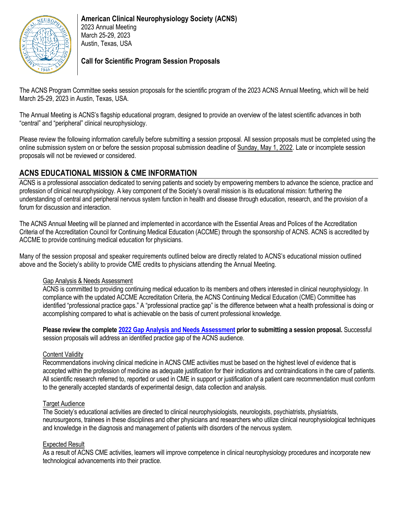

### **Call for Scientific Program Session Proposals**

The ACNS Program Committee seeks session proposals for the scientific program of the 2023 ACNS Annual Meeting, which will be held March 25-29, 2023 in Austin, Texas, USA.

The Annual Meeting is ACNS's flagship educational program, designed to provide an overview of the latest scientific advances in both "central" and "peripheral" clinical neurophysiology.

Please review the following information carefully before submitting a session proposal. All session proposals must be completed using the online submission system on or before the session proposal submission deadline of Sunday, May 1, 2022. Late or incomplete session proposals will not be reviewed or considered.

# **ACNS EDUCATIONAL MISSION & CME INFORMATION**

ACNS is a professional association dedicated to serving patients and society by empowering members to advance the science, practice and profession of clinical neurophysiology. A key component of the Society's overall mission is its educational mission: furthering the understanding of central and peripheral nervous system function in health and disease through education, research, and the provision of a forum for discussion and interaction.

The ACNS Annual Meeting will be planned and implemented in accordance with the Essential Areas and Polices of the Accreditation Criteria of the Accreditation Council for Continuing Medical Education (ACCME) through the sponsorship of ACNS. ACNS is accredited by ACCME to provide continuing medical education for physicians.

Many of the session proposal and speaker requirements outlined below are directly related to ACNS's educational mission outlined above and the Society's ability to provide CME credits to physicians attending the Annual Meeting.

#### Gap Analysis & Needs Assessment

ACNS is committed to providing continuing medical education to its members and others interested in clinical neurophysiology. In compliance with the updated ACCME Accreditation Criteria, the ACNS Continuing Medical Education (CME) Committee has identified "professional practice gaps." A "professional practice gap" is the difference between what a health professional is doing or accomplishing compared to what is achievable on the basis of current professional knowledge.

**Please review the complete [2022 Gap Analysis and Needs Assessment](file:///C:/Users/lcazares/Downloads/ACNS%20Gap%20Analysis%20Needs%20Assessment_rev2022.pdf) prior to submitting a session proposal.** Successful session proposals will address an identified practice gap of the ACNS audience.

#### Content Validity

Recommendations involving clinical medicine in ACNS CME activities must be based on the highest level of evidence that is accepted within the profession of medicine as adequate justification for their indications and contraindications in the care of patients. All scientific research referred to, reported or used in CME in support or justification of a patient care recommendation must conform to the generally accepted standards of experimental design, data collection and analysis.

#### **Target Audience**

The Society's educational activities are directed to clinical neurophysiologists, neurologists, psychiatrists, physiatrists, neurosurgeons, trainees in these disciplines and other physicians and researchers who utilize clinical neurophysiological techniques and knowledge in the diagnosis and management of patients with disorders of the nervous system.

#### Expected Result

As a result of ACNS CME activities, learners will improve competence in clinical neurophysiology procedures and incorporate new technological advancements into their practice.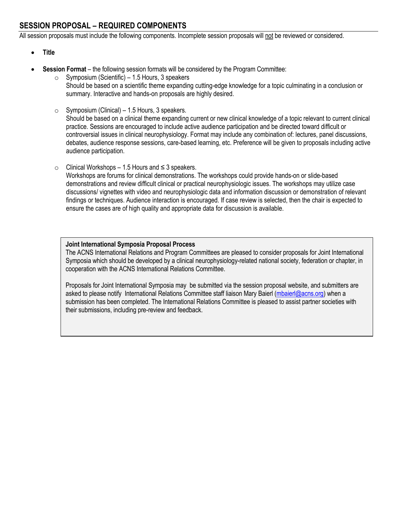# **SESSION PROPOSAL – REQUIRED COMPONENTS**

All session proposals must include the following components. Incomplete session proposals will not be reviewed or considered.

- **Title**
- **Session Format** the following session formats will be considered by the Program Committee:
	- $\circ$  Symposium (Scientific) 1.5 Hours, 3 speakers Should be based on a scientific theme expanding cutting-edge knowledge for a topic culminating in a conclusion or summary. Interactive and hands-on proposals are highly desired.
	- $\circ$  Symposium (Clinical) 1.5 Hours, 3 speakers. Should be based on a clinical theme expanding current or new clinical knowledge of a topic relevant to current clinical practice. Sessions are encouraged to include active audience participation and be directed toward difficult or controversial issues in clinical neurophysiology. Format may include any combination of: lectures, panel discussions, debates, audience response sessions, care-based learning, etc. Preference will be given to proposals including active audience participation.
	- o Clinical Workshops 1.5 Hours and ≤ 3 speakers.

Workshops are forums for clinical demonstrations. The workshops could provide hands-on or slide-based demonstrations and review difficult clinical or practical neurophysiologic issues. The workshops may utilize case discussions/ vignettes with video and neurophysiologic data and information discussion or demonstration of relevant findings or techniques. Audience interaction is encouraged. If case review is selected, then the chair is expected to ensure the cases are of high quality and appropriate data for discussion is available.

#### **Joint International Symposia Proposal Process**

The ACNS International Relations and Program Committees are pleased to consider proposals for Joint International Symposia which should be developed by a clinical neurophysiology-related national society, federation or chapter, in cooperation with the ACNS International Relations Committee.

Proposals for Joint International Symposia may be submitted via the session proposal website, and submitters are asked to please notify International Relations Committee staff liaison Mary Baierl [\(mbaierl@acns.org\)](mailto:mbaierl@acns.org) when a submission has been completed. The International Relations Committee is pleased to assist partner societies with their submissions, including pre-review and feedback.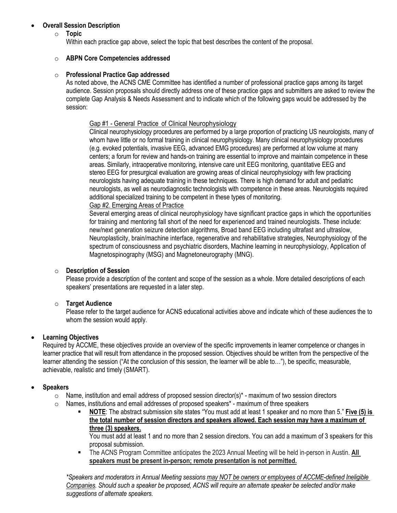#### • **Overall Session Description**

#### o **Topic**

Within each practice gap above, select the topic that best describes the content of the proposal.

#### o **ABPN Core Competencies addressed**

#### o **Professional Practice Gap addressed**

As noted above, the ACNS CME Committee has identified a number of professional practice gaps among its target audience. Session proposals should directly address one of these practice gaps and submitters are asked to review the complete Gap Analysis & Needs Assessment and to indicate which of the following gaps would be addressed by the session:

#### Gap #1 - General Practice of Clinical Neurophysiology

Clinical neurophysiology procedures are performed by a large proportion of practicing US neurologists, many of whom have little or no formal training in clinical neurophysiology. Many clinical neurophysiology procedures (e.g. evoked potentials, invasive EEG, advanced EMG procedures) are performed at low volume at many centers; a forum for review and hands-on training are essential to improve and maintain competence in these areas. Similarly, intraoperative monitoring, intensive care unit EEG monitoring, quantitative EEG and stereo EEG for presurgical evaluation are growing areas of clinical neurophysiology with few practicing neurologists having adequate training in these techniques. There is high demand for adult and pediatric neurologists, as well as neurodiagnostic technologists with competence in these areas. Neurologists required additional specialized training to be competent in these types of monitoring.

#### Gap #2. Emerging Areas of Practice

Several emerging areas of clinical neurophysiology have significant practice gaps in which the opportunities for training and mentoring fall short of the need for experienced and trained neurologists. These include: new/next generation seizure detection algorithms, Broad band EEG including ultrafast and ultraslow, Neuroplasticity, brain/machine interface, regenerative and rehabilitative strategies, Neurophysiology of the spectrum of consciousness and psychiatric disorders, Machine learning in neurophysiology, Application of Magnetospinography (MSG) and Magnetoneurography (MNG).

#### o **Description of Session**

Please provide a description of the content and scope of the session as a whole. More detailed descriptions of each speakers' presentations are requested in a later step.

#### o **Target Audience**

Please refer to the target audience for ACNS educational activities above and indicate which of these audiences the to whom the session would apply.

#### • **Learning Objectives**

Required by ACCME, these objectives provide an overview of the specific improvements in learner competence or changes in learner practice that will result from attendance in the proposed session. Objectives should be written from the perspective of the learner attending the session ("At the conclusion of this session, the learner will be able to…"), be specific, measurable, achievable, realistic and timely (SMART).

#### • **Speakers**

- $\circ$  Name, institution and email address of proposed session director(s)<sup>\*</sup> maximum of two session directors
- o Names, institutions and email addresses of proposed speakers\* maximum of three speakers
	- **NOTE**: The abstract submission site states "You must add at least 1 speaker and no more than 5." **Five (5) is the total number of session directors and speakers allowed. Each session may have a maximum of three (3) speakers.**

You must add at least 1 and no more than 2 session directors. You can add a maximum of 3 speakers for this proposal submission.

▪ The ACNS Program Committee anticipates the 2023 Annual Meeting will be held in-person in Austin. **All speakers must be present in-person; remote presentation is not permitted.**

*\*Speakers and moderators in Annual Meeting sessions may NOT be owners or employees of ACCME-defined Ineligible Companies. Should such a speaker be proposed, ACNS will require an alternate speaker be selected and/or make suggestions of alternate speakers.*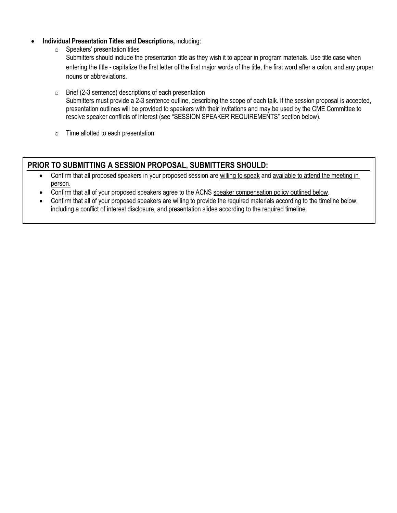- **Individual Presentation Titles and Descriptions,** including:
	- o Speakers' presentation titles

Submitters should include the presentation title as they wish it to appear in program materials. Use title case when entering the title - capitalize the first letter of the first major words of the title, the first word after a colon, and any proper nouns or abbreviations.

- o Brief (2-3 sentence) descriptions of each presentation Submitters must provide a 2-3 sentence outline, describing the scope of each talk. If the session proposal is accepted, presentation outlines will be provided to speakers with their invitations and may be used by the CME Committee to resolve speaker conflicts of interest (see "SESSION SPEAKER REQUIREMENTS" section below).
- o Time allotted to each presentation

# **PRIOR TO SUBMITTING A SESSION PROPOSAL, SUBMITTERS SHOULD:**

- Confirm that all proposed speakers in your proposed session are willing to speak and available to attend the meeting in person.
- Confirm that all of your proposed speakers agree to the ACNS speaker compensation policy outlined below.
- Confirm that all of your proposed speakers are willing to provide the required materials according to the timeline below, including a conflict of interest disclosure, and presentation slides according to the required timeline.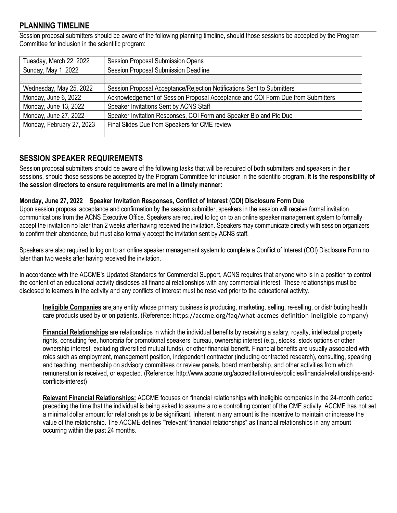### **PLANNING TIMELINE**

Session proposal submitters should be aware of the following planning timeline, should those sessions be accepted by the Program Committee for inclusion in the scientific program:

| Tuesday, March 22, 2022   | <b>Session Proposal Submission Opens</b>                                        |
|---------------------------|---------------------------------------------------------------------------------|
| Sunday, May 1, 2022       | <b>Session Proposal Submission Deadline</b>                                     |
|                           |                                                                                 |
| Wednesday, May 25, 2022   | Session Proposal Acceptance/Rejection Notifications Sent to Submitters          |
| Monday, June 6, 2022      | Acknowledgement of Session Proposal Acceptance and COI Form Due from Submitters |
| Monday, June 13, 2022     | Speaker Invitations Sent by ACNS Staff                                          |
| Monday, June 27, 2022     | Speaker Invitation Responses, COI Form and Speaker Bio and Pic Due              |
| Monday, February 27, 2023 | Final Slides Due from Speakers for CME review                                   |
|                           |                                                                                 |

### **SESSION SPEAKER REQUIREMENTS**

Session proposal submitters should be aware of the following tasks that will be required of both submitters and speakers in their sessions, should those sessions be accepted by the Program Committee for inclusion in the scientific program. **It is the responsibility of the session directors to ensure requirements are met in a timely manner:**

#### **Monday, June 27, 2022 Speaker Invitation Responses, Conflict of Interest (COI) Disclosure Form Due**

Upon session proposal acceptance and confirmation by the session submitter, speakers in the session will receive formal invitation communications from the ACNS Executive Office. Speakers are required to log on to an online speaker management system to formally accept the invitation no later than 2 weeks after having received the invitation. Speakers may communicate directly with session organizers to confirm their attendance, but must also formally accept the invitation sent by ACNS staff.

Speakers are also required to log on to an online speaker management system to complete a Conflict of Interest (COI) Disclosure Form no later than two weeks after having received the invitation.

In accordance with the ACCME's Updated Standards for Commercial Support, ACNS requires that anyone who is in a position to control the content of an educational activity discloses all financial relationships with any commercial interest. These relationships must be disclosed to learners in the activity and any conflicts of interest must be resolved prior to the educational activity.

**Ineligible Companies** are any entity whose primary business is producing, marketing, selling, re-selling, or distributing health care products used by or on patients. (Reference: https://accme.org/faq/what-accmes-definition-ineligible-company)

**Financial Relationships** are relationships in which the individual benefits by receiving a salary, royalty, intellectual property rights, consulting fee, honoraria for promotional speakers' bureau, ownership interest (e.g., stocks, stock options or other ownership interest, excluding diversified mutual funds), or other financial benefit. Financial benefits are usually associated with roles such as employment, management position, independent contractor (including contracted research), consulting, speaking and teaching, membership on advisory committees or review panels, board membership, and other activities from which remuneration is received, or expected. (Reference[: http://www.accme.org/accreditation-rules/policies/financial-relationships-and](http://www.accme.org/accreditation-rules/policies/financial-relationships-and-conflicts-interest)[conflicts-interest\)](http://www.accme.org/accreditation-rules/policies/financial-relationships-and-conflicts-interest)

**Relevant Financial Relationships:** ACCME focuses on financial relationships with ineligible companies in the 24-month period preceding the time that the individual is being asked to assume a role controlling content of the CME activity. ACCME has not set a minimal dollar amount for relationships to be significant. Inherent in any amount is the incentive to maintain or increase the value of the relationship. The ACCME defines "'relevant' financial relationships" as financial relationships in any amount occurring within the past 24 months.